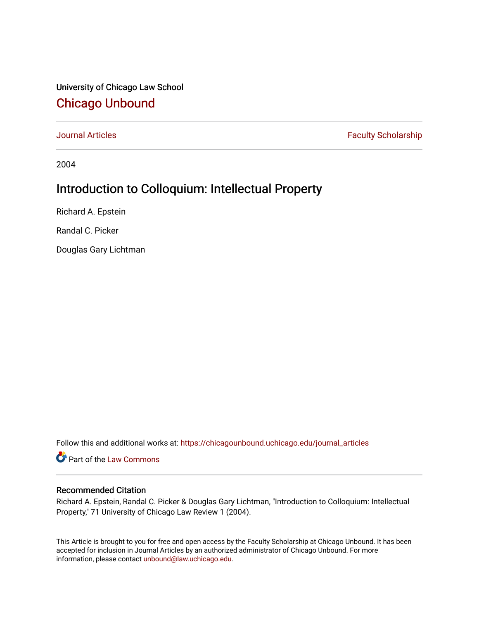University of Chicago Law School [Chicago Unbound](https://chicagounbound.uchicago.edu/)

[Journal Articles](https://chicagounbound.uchicago.edu/journal_articles) **Faculty Scholarship Faculty Scholarship** 

2004

## Introduction to Colloquium: Intellectual Property

Richard A. Epstein

Randal C. Picker

Douglas Gary Lichtman

Follow this and additional works at: [https://chicagounbound.uchicago.edu/journal\\_articles](https://chicagounbound.uchicago.edu/journal_articles?utm_source=chicagounbound.uchicago.edu%2Fjournal_articles%2F1373&utm_medium=PDF&utm_campaign=PDFCoverPages) 

Part of the [Law Commons](http://network.bepress.com/hgg/discipline/578?utm_source=chicagounbound.uchicago.edu%2Fjournal_articles%2F1373&utm_medium=PDF&utm_campaign=PDFCoverPages)

## Recommended Citation

Richard A. Epstein, Randal C. Picker & Douglas Gary Lichtman, "Introduction to Colloquium: Intellectual Property," 71 University of Chicago Law Review 1 (2004).

This Article is brought to you for free and open access by the Faculty Scholarship at Chicago Unbound. It has been accepted for inclusion in Journal Articles by an authorized administrator of Chicago Unbound. For more information, please contact [unbound@law.uchicago.edu](mailto:unbound@law.uchicago.edu).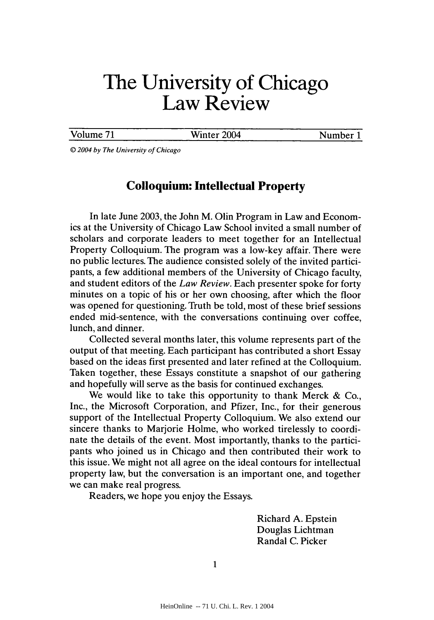## **The University of Chicago Law Review**

Volume 71 Winter 2004 Number 1

*0 2004 by* The *University of Chicago*

## **Colloquium: Intellectual Property**

In late June 2003, the John M. Olin Program in Law and Economics at the University of Chicago Law School invited a small number of scholars and corporate leaders to meet together for an Intellectual Property Colloquium. The program was a low-key affair. There were no public lectures. The audience consisted solely of the invited participants, a few additional members of the University of Chicago faculty, and student editors of the *Law Review.* Each presenter spoke for forty minutes on a topic of his or her own choosing, after which the floor was opened for questioning. Truth be told, most of these brief sessions ended mid-sentence, with the conversations continuing over coffee, lunch, and dinner.

Collected several months later, this volume represents part of the output of that meeting. Each participant has contributed a short Essay based on the ideas first presented and later refined at the Colloquium. Taken together, these Essays constitute a snapshot of our gathering and hopefully will serve as the basis for continued exchanges.

We would like to take this opportunity to thank Merck  $\&$  Co., Inc., the Microsoft Corporation, and Pfizer, Inc., for their generous support of the Intellectual Property Colloquium. We also extend our sincere thanks to Marjorie Holme, who worked tirelessly to coordinate the details of the event. Most importantly, thanks to the participants who joined us in Chicago and then contributed their work to this issue. We might not all agree on the ideal contours for intellectual property law, but the conversation is an important one, and together we can make real progress.

Readers, we hope you enjoy the Essays.

Richard A. Epstein Douglas Lichtman Randal C. Picker